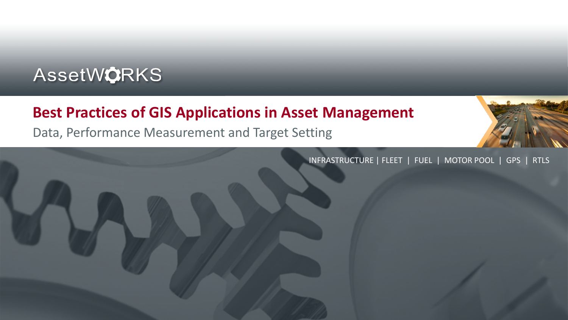#### AssetWORKS

#### **Best Practices of GIS Applications in Asset Management**

Data, Performance Measurement and Target Setting

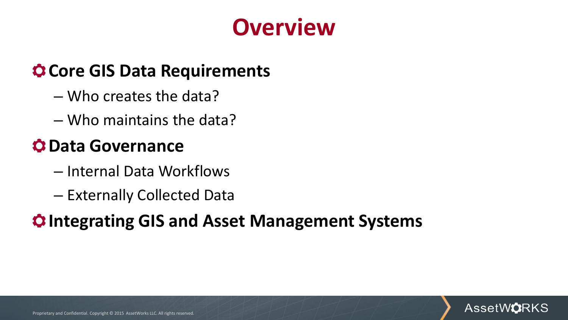## **Overview**

#### **CORE GIS Data Requirements**

- Who creates the data?
- Who maintains the data?

#### **C** Data Governance

- Internal Data Workflows
- Externally Collected Data

#### **Integrating GIS and Asset Management Systems**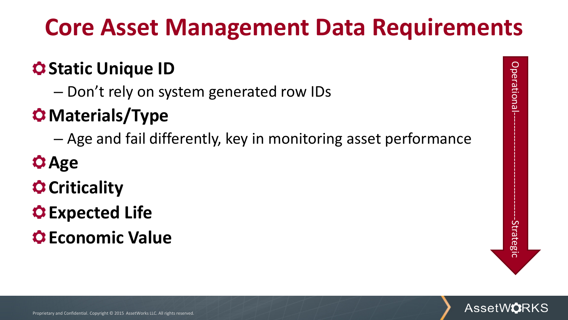# **Core Asset Management Data Requirements**

## **C** Static Unique ID

– Don't rely on system generated row IDs

## **Materials/Type**

- Age and fail differently, key in monitoring asset performance
- **Age**
- **Criticality**
- **Expected Life**
- **C** Economic Value

Operational---------------------------------Strategic Operational-

Strategic

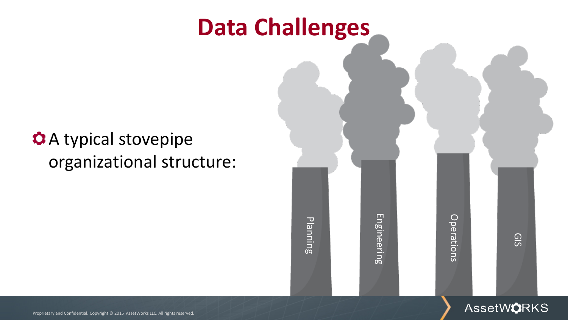## A typical stovepipe organizational structure:

Engineering Engineering Planning Operations Operations GIS

#### AssetWORKS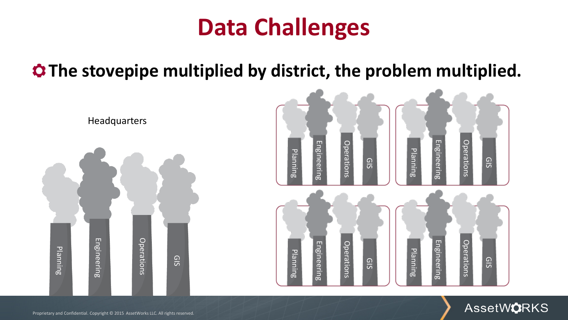#### **The stovepipe multiplied by district, the problem multiplied.**



#### **AssetWORKS**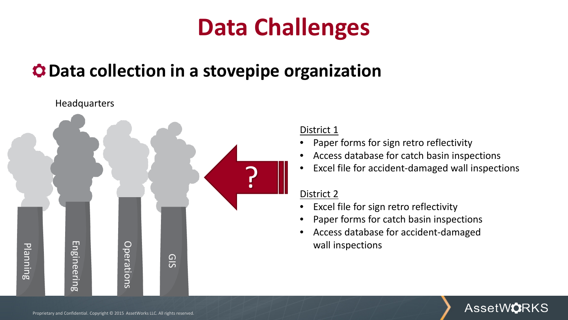#### **Data collection in a stovepipe organization**



#### District 1

- Paper forms for sign retro reflectivity
- Access database for catch basin inspections
- Excel file for accident-damaged wall inspections

#### District 2

- Excel file for sign retro reflectivity
- Paper forms for catch basin inspections
- Access database for accident-damaged wall inspections

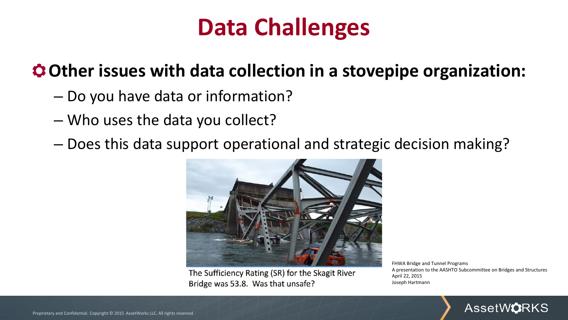#### **Other issues with data collection in a stovepipe organization:**

- Do you have data or information?
- Who uses the data you collect?
- Does this data support operational and strategic decision making?



The Sufficiency Rating (SR) for the Skagit River Bridge was 53.8. Was that unsafe?

FHWA Bridge and Tunnel Programs A presentation to the AASHTO Subcommittee on Bridges and Structures April 22, 2015 Joseph Hartmann

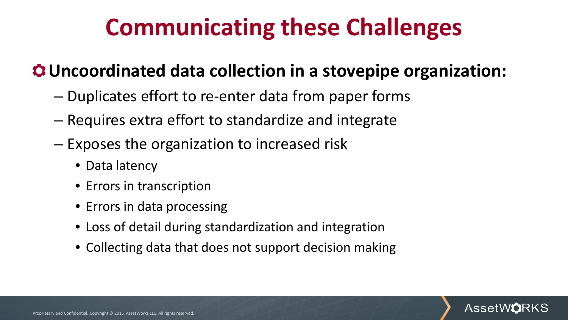# **Communicating these Challenges**

#### **Uncoordinated data collection in a stovepipe organization:**

- Duplicates effort to re-enter data from paper forms
- Requires extra effort to standardize and integrate
- Exposes the organization to increased risk
	- Data latency
	- Errors in transcription
	- Errors in data processing
	- Loss of detail during standardization and integration
	- Collecting data that does not support decision making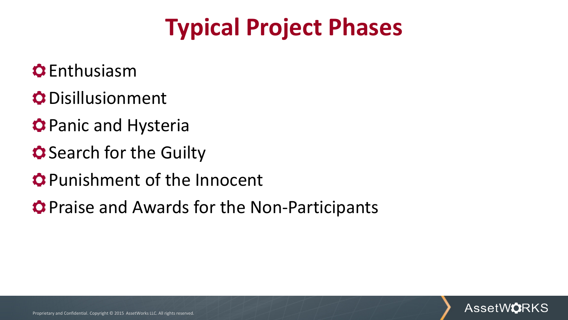# **Typical Project Phases**

- **O** Enthusiasm
- **O** Disillusionment
- **Panic and Hysteria**
- **C** Search for the Guilty
- Punishment of the Innocent
- **O** Praise and Awards for the Non-Participants

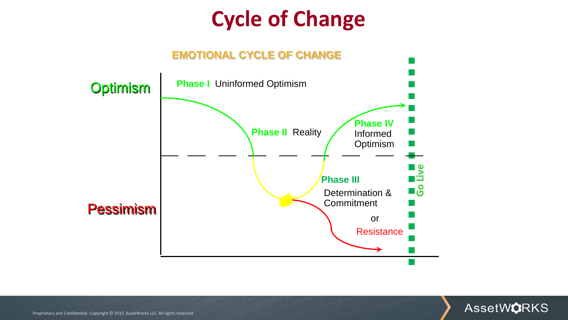## **Cycle of Change**

#### **EMOTIONAL CYCLE OF CHANGE**



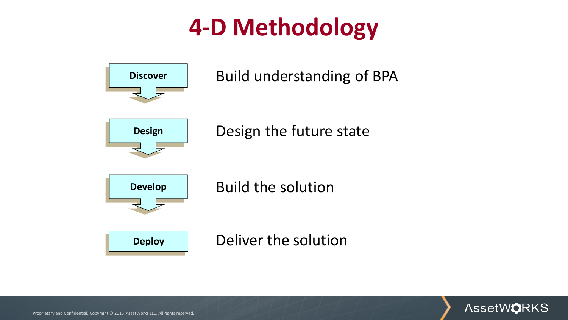# **4-D Methodology**



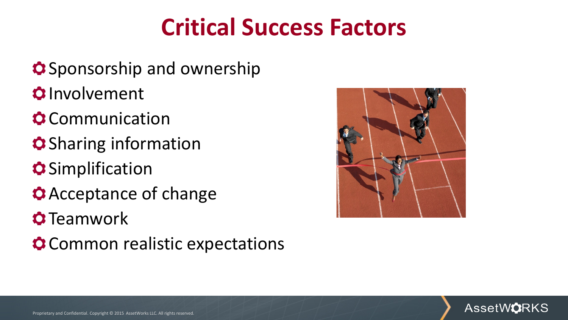## **Critical Success Factors**

- **O** Sponsorship and ownership **Q**Involvement
- **O** Communication
- **C** Sharing information
- **O** Simplification
- Acceptance of change
- **O** Teamwork
- **O** Common realistic expectations



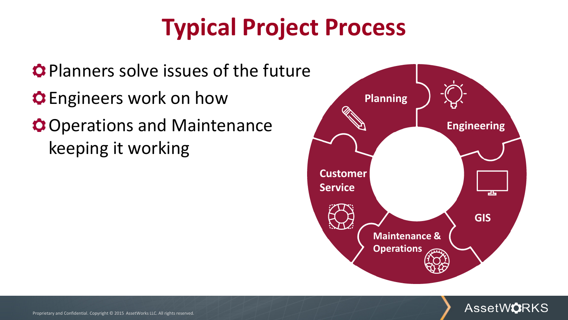# **Typical Project Process**

**C** Planners solve issues of the future **C** Engineers work on how **O** Operations and Maintenance keeping it working



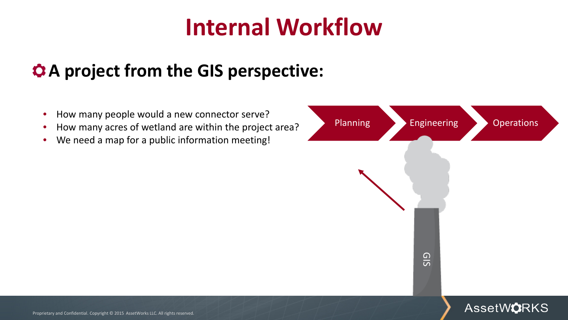# **Internal Workflow**

### **A project from the GIS perspective:**

- How many people would a new connector serve?
- How many acres of wetland are within the project area?
- We need a map for a public information meeting!



**AssetWORKS**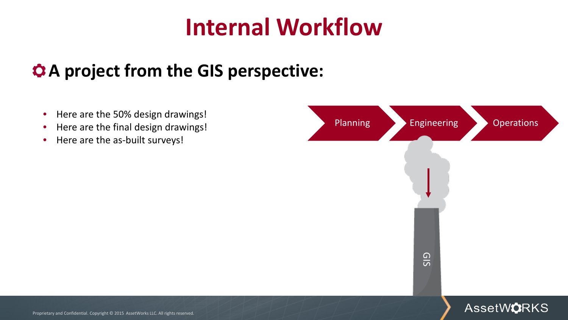## **Internal Workflow**

### **A project from the GIS perspective:**

- Here are the 50% design drawings!
- Here are the final design drawings!
- Here are the as-built surveys!

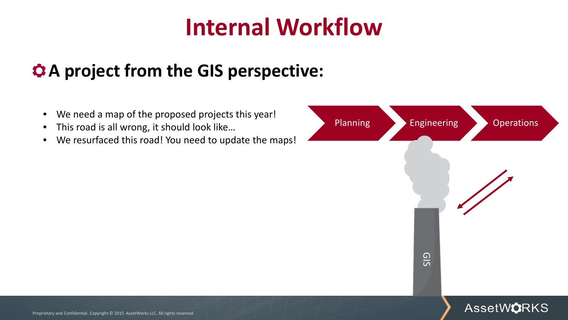# **Internal Workflow**

### **A project from the GIS perspective:**

- We need a map of the proposed projects this year!
- This road is all wrong, it should look like…
- We resurfaced this road! You need to update the maps!

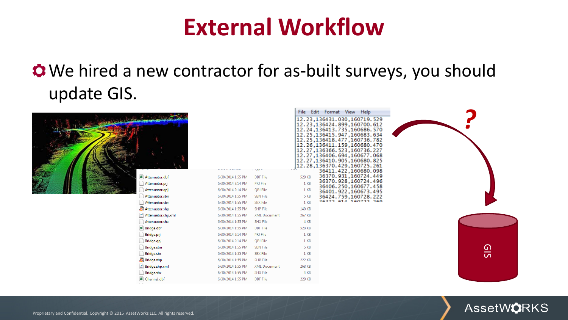## **External Workflow**

### We hired a new contractor for as-built surveys, you should update GIS.

|                          |                   |                     |        | File Edit Format View Help<br>12.23,136431.030,160719.529<br>12.23,136424.899,160700.612<br>12.24, 136413.735, 160686.570<br>12.25.136415.947.160683.634<br>12.25, 136418.477, 160736.782<br>12.26,136411.159,160680.470<br>12.27, 136366.523, 160736.227<br>12.27, 136406. 694, 160677. 068<br>12.27, 136410. 905, 160680. 825<br>12.28,136370.429,160725.261 |            |
|--------------------------|-------------------|---------------------|--------|----------------------------------------------------------------------------------------------------------------------------------------------------------------------------------------------------------------------------------------------------------------------------------------------------------------------------------------------------------------|------------|
|                          | . <u>.</u>        |                     |        | 36411.422,160680.098                                                                                                                                                                                                                                                                                                                                           |            |
| al Attenuator.dbf        | 6/30/2014 1:55 PM | <b>DBF</b> File     | 529 KB | 36370.931,160724.449                                                                                                                                                                                                                                                                                                                                           |            |
| Attenuator.prj           | 6/30/2014 2:14 PM | <b>PRJ File</b>     | 1 KB   | 36370.928,160724.496<br>36406.250,160677.458                                                                                                                                                                                                                                                                                                                   |            |
| Attenuator.gpj           | 6/30/2014 2:14 PM | QPJ File            | 1 KB   | 36401.922,160673.495                                                                                                                                                                                                                                                                                                                                           |            |
| Attenuator.sbn           | 6/30/2014 1:55 PM | <b>SBN File</b>     | 5 KB   | 36424.759,160728.222                                                                                                                                                                                                                                                                                                                                           |            |
| Attenuator.sbx           | 6/30/2014 1:55 PM | SBX File            | 1 KB   | 26272 614 160722 260                                                                                                                                                                                                                                                                                                                                           |            |
| Attenuator.shp           | 6/30/2014 1:55 PM | <b>SHP File</b>     | 140 KB |                                                                                                                                                                                                                                                                                                                                                                |            |
| Attenuator.shp.xml       | 6/30/2014 1:55 PM | <b>XML Document</b> | 267 KB |                                                                                                                                                                                                                                                                                                                                                                |            |
| Attenuator.shx           | 6/30/2014 1:55 PM | <b>SHX File</b>     | 4 KB   |                                                                                                                                                                                                                                                                                                                                                                |            |
| <b>al</b> Bridge.dbf     | 6/30/2014 1:55 PM | <b>DBF</b> File     | 528 KB |                                                                                                                                                                                                                                                                                                                                                                |            |
| $\Box$ Bridge.prj        | 6/30/2014 2:14 PM | <b>PRJ File</b>     | 1 KB   |                                                                                                                                                                                                                                                                                                                                                                |            |
| Bridge.qpj               | 6/30/2014 2:14 PM | <b>OPJ File</b>     | 1 KB   |                                                                                                                                                                                                                                                                                                                                                                |            |
| Bridge.sbn               | 6/30/2014 1:55 PM | <b>SBN File</b>     | 5 KB   |                                                                                                                                                                                                                                                                                                                                                                | <b>GIS</b> |
| $\Box$ Bridge.sbx        | 6/30/2014 1:55 PM | <b>SBX File</b>     | 1 KB   |                                                                                                                                                                                                                                                                                                                                                                |            |
| Bridge.shp               | 6/30/2014 1:55 PM | <b>SHP File</b>     | 222 KB |                                                                                                                                                                                                                                                                                                                                                                |            |
| Bridge.shp.xml           | 6/30/2014 1:55 PM | <b>XML Document</b> | 268 KB |                                                                                                                                                                                                                                                                                                                                                                |            |
| $\Box$ Bridge.shx        | 6/30/2014 1:55 PM | <b>SHX File</b>     | 4 KB   |                                                                                                                                                                                                                                                                                                                                                                |            |
| <sup>图</sup> Channel.dbf | 6/30/2014 1:55 PM | <b>DBF</b> File     | 229 KB |                                                                                                                                                                                                                                                                                                                                                                |            |

**AssetWORKS**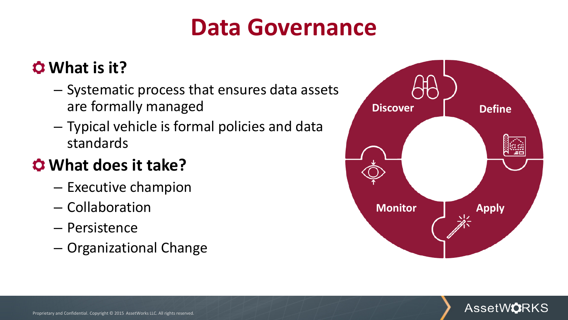## **Data Governance**

#### **What is it?**

- Systematic process that ensures data assets are formally managed
- Typical vehicle is formal policies and data standards

#### **What does it take?**

- Executive champion
- Collaboration
- Persistence
- Organizational Change



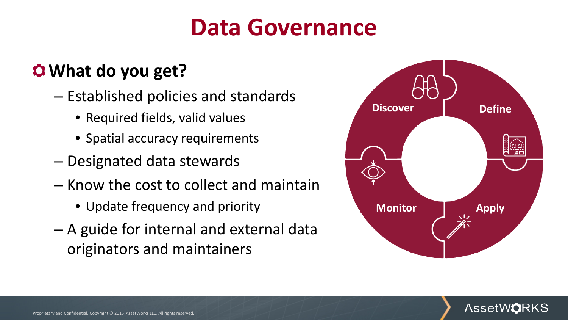## **Data Governance**

### **What do you get?**

- Established policies and standards
	- Required fields, valid values
	- Spatial accuracy requirements
- Designated data stewards
- Know the cost to collect and maintain
	- Update frequency and priority
- A guide for internal and external data originators and maintainers



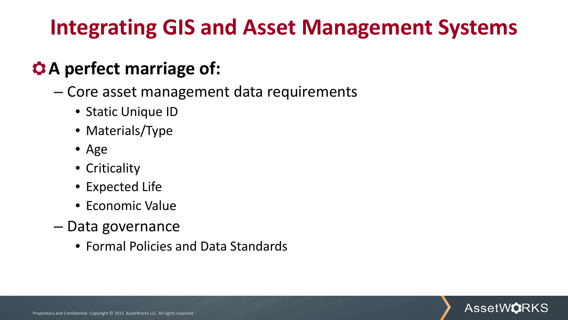## **Integrating GIS and Asset Management Systems**

### **A perfect marriage of:**

- Core asset management data requirements
	- Static Unique ID
	- Materials/Type
	- Age
	- Criticality
	- Expected Life
	- Economic Value
- Data governance
	- Formal Policies and Data Standards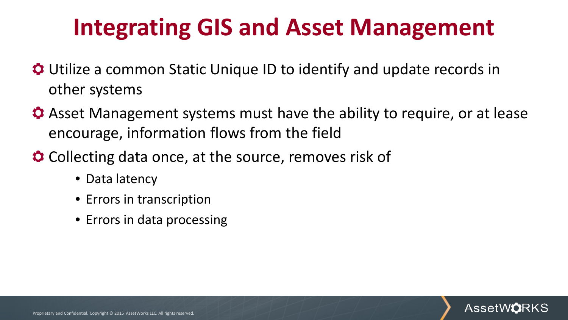## **Integrating GIS and Asset Management**

- Utilize a common Static Unique ID to identify and update records in other systems
- Asset Management systems must have the ability to require, or at lease encourage, information flows from the field
- **C** Collecting data once, at the source, removes risk of
	- Data latency
	- Errors in transcription
	- Errors in data processing

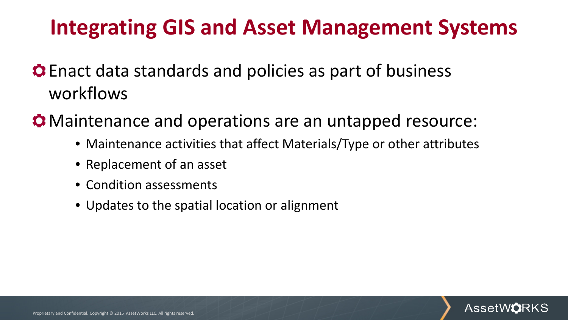## **Integrating GIS and Asset Management Systems**

- Enact data standards and policies as part of business workflows
- Maintenance and operations are an untapped resource:
	- Maintenance activities that affect Materials/Type or other attributes
	- Replacement of an asset
	- Condition assessments
	- Updates to the spatial location or alignment

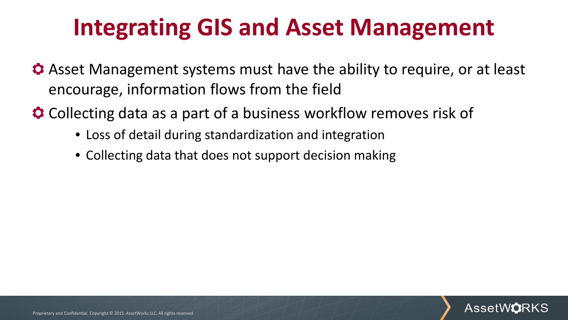## **Integrating GIS and Asset Management**

- Asset Management systems must have the ability to require, or at least encourage, information flows from the field
- Collecting data as a part of a business workflow removes risk of
	- Loss of detail during standardization and integration
	- Collecting data that does not support decision making